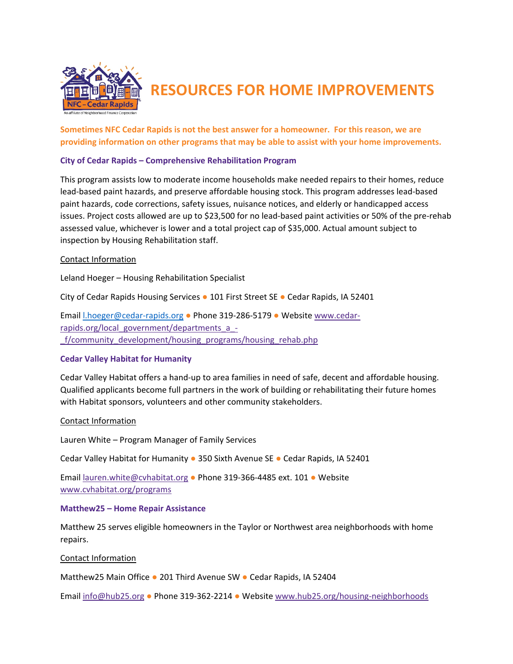

# **RESOURCES FOR HOME IMPROVEMENTS**

**Sometimes NFC Cedar Rapids is not the best answer for a homeowner. For this reason, we are providing information on other programs that may be able to assist with your home improvements.**

#### **City of Cedar Rapids – Comprehensive Rehabilitation Program**

This program assists low to moderate income households make needed repairs to their homes, reduce lead‐based paint hazards, and preserve affordable housing stock. This program addresses lead‐based paint hazards, code corrections, safety issues, nuisance notices, and elderly or handicapped access issues. Project costs allowed are up to \$23,500 for no lead‐based paint activities or 50% of the pre‐rehab assessed value, whichever is lower and a total project cap of \$35,000. Actual amount subject to inspection by Housing Rehabilitation staff.

#### Contact Information

Leland Hoeger – Housing Rehabilitation Specialist

City of Cedar Rapids Housing Services ● 101 First Street SE ● Cedar Rapids, IA 52401

Email l.hoeger@cedar‐rapids.org ● Phone 319‐286‐5179 ● Website www.cedar‐ rapids.org/local\_government/departments\_a\_-\_f/community\_development/housing\_programs/housing\_rehab.php

#### **Cedar Valley Habitat for Humanity**

Cedar Valley Habitat offers a hand‐up to area families in need of safe, decent and affordable housing. Qualified applicants become full partners in the work of building or rehabilitating their future homes with Habitat sponsors, volunteers and other community stakeholders.

#### Contact Information

Lauren White – Program Manager of Family Services

Cedar Valley Habitat for Humanity ● 350 Sixth Avenue SE ● Cedar Rapids, IA 52401

Email lauren.white@cvhabitat.org ● Phone 319‐366‐4485 ext. 101 ● Website www.cvhabitat.org/programs

#### **Matthew25 – Home Repair Assistance**

Matthew 25 serves eligible homeowners in the Taylor or Northwest area neighborhoods with home repairs.

#### Contact Information

Matthew25 Main Office ● 201 Third Avenue SW ● Cedar Rapids, IA 52404

Email info@hub25.org ● Phone 319‐362‐2214 ● Website www.hub25.org/housing‐neighborhoods